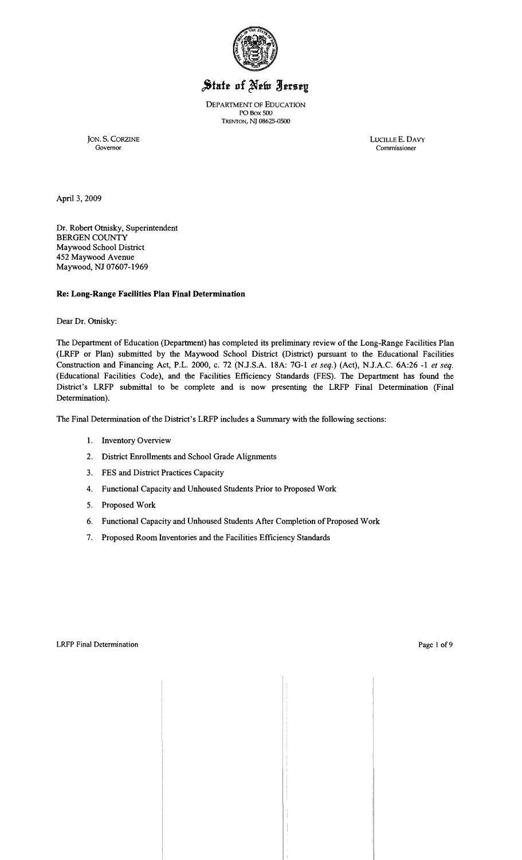

# State of New Jersey

DEPARTMENT OF EDUCATION PO Box SOO TRENTON, N} 08625-0500

JON. S. CORZINE LUCILLE E. DAVY LUCILLE E. DAVY Governor Governor Commissioner

April 3, 2009

Dr. Robert Otnisky, Superintendent BERGEN COUNTY Maywood School District 452 Maywood Avenue Maywood, NJ 07607-1969

## **Re: Long-Range Facilities Plan Final Determination**

Dear Dr. Otnisky:

The Department of Education (Department) has completed its preliminary review of the Long-Range Facilities Plan (LRFP or Plan) submitted by the Maywood School District (District) pursuant to the Educational Facilities Construction and Financing Act, P.L. 2000, c. 72 (NJ.S.A. *18A:* 7G-l *et seq.)* (Act), N.lA.C. *6A:26* -1 *et seq.*  (Educational Facilities Code), and the Facilities Efficiency Standards (FES). The Department has found the District's LRFP submittal to be complete and is now presenting the LRFP Final Determination (Final Determination).

The Final Determination of the District's LRFP includes a Summary with the following sections:

- 1. Inventory Overview
- 2. District Emollments and School Grade Alignments
- 3. FES and District Practices Capacity
- 4. Functional Capacity and Unhoused Students Prior to Proposed Work
- 5. Proposed Work
- 6. Functional Capacity and Unhoused Students After Completion of Proposed Work
- 7. Proposed Room Inventories and the Facilities Efficiency Standards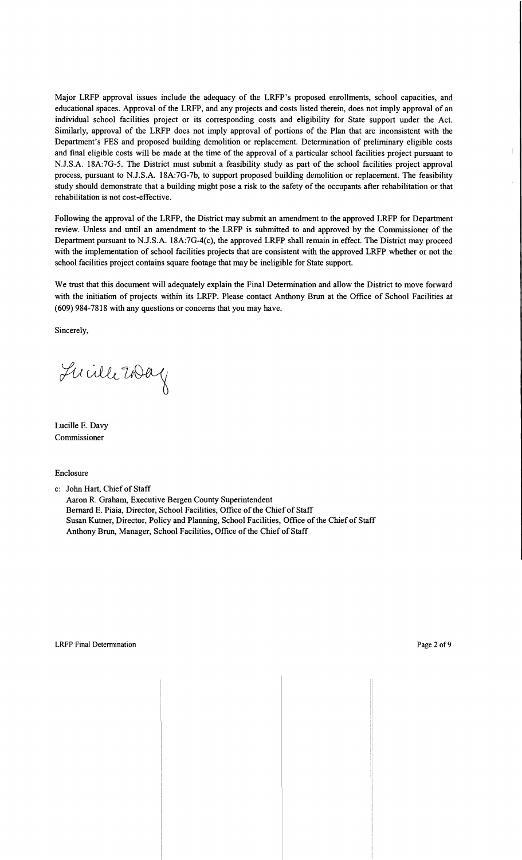Major LRFP approval issues include the adequacy of the LRFP's proposed enrollments, school capacities, and educational spaces. Approval of the LRFP, and any projects and costs listed therein, does not imply approval of an individual school facilities project or its corresponding costs and eligibility for State support under the Act. Similarly, approval of the LRFP does not imply approval of portions of the Plan that are inconsistent with the Department's FES and proposed building demolition or replacement. Determination of preliminary eligible costs and final eligible costs will be made at the time of the approval of a particular school facilities project pursuant to N.J.S.A. 18A:7G-5. The District must submit a feasibility study as part of the school facilities project approval process, pursuant to N.J.S.A. 18A:7G-7b, to support proposed building demolition or replacement. The feasibility study should demonstrate that a building might pose a risk to the safety of the occupants after rehabilitation or that rehabilitation is not cost-effective.

Following the approval of the LRFP, the District may submit an amendment to the approved LRFP for Department review. Unless and until an amendment to the LRFP is submitted to and approved by the Commissioner of the Department pursuant to N.J.S.A. 18A:7G-4(c), the approved LRFP shall remain in effect. The District may proceed with the implementation of school facilities projects that are consistent with the approved LRFP whether or not the school facilities project contains square footage that may be ineligible for State support.

We trust that this document will adequately explain the Final Determination and allow the District to move forward with the initiation of projects within its LRFP. Please contact Anthony Brun at the Office of School Facilities at (609) 984-7818 with any questions or concerns that you may have.

Sincerely,

Lucille 2004

Lucille E. Davy Commissioner

#### Enclosure

c: John Hart, Chief of Staff

Aaron R. Graham, Executive Bergen County Superintendent Bernard E. Piaia, Director, School Facilities, Office of the Chief of Staff Susan Kutner, Director, Policy and Planning, School Facilities, Office ofthe Chief of Staff Anthony Brun, Manager, School Facilities, Office of the Chief of Staff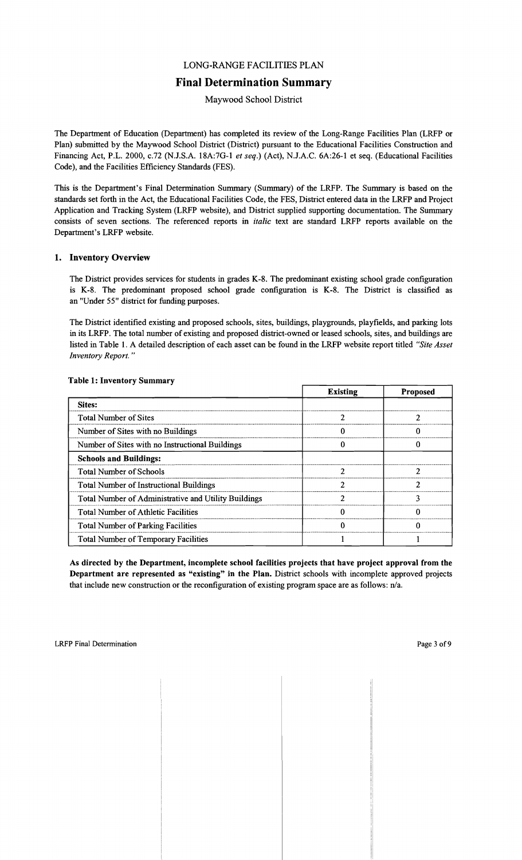## LONG-RANGE FACILITIES PLAN

# **Final Determination Summary**

Maywood School District

The Department of Education (Department) has completed its review of the Long-Range Facilities Plan (LRFP or Plan) submitted by the Maywood School District (District) pursuant to the Educational Facilities Construction and Financing Act, P.L. 2000, c.72 (N.lS.A. 18A:7G-l *et seq.)* (Act), N.lA.C. 6A:26-1 et seq. (Educational Facilities Code), and the Facilities Efficiency Standards (FES).

This is the Department's Final Determination Summary (Summary) of the LRFP. The Summary is based on the standards set forth in the Act, the Educational Facilities Code, the FES, District entered data in the LRFP and Project Application and Tracking System (LRFP website), and District supplied supporting documentation. The Summary consists of seven sections. The referenced reports in *italic* text are standard LRFP reports available on the Department's LRFP website.

## 1. Inventory Overview

The District provides services for students in grades K-8. The predominant existing school grade configuration is K-8. The predominant proposed school grade configuration is K-8. The District is classified as an "Under 55" district for funding purposes.

The District identified existing and proposed schools, sites, buildings, playgrounds, playfields, and parking lots in its LRFP. The total number of existing and proposed district-owned or leased schools, sites, and buildings are listed in Table 1. A detailed description of each asset can be found in the LRFP website report titled *"Site Asset Inventory Report. "* 

|                                                      | <b>Existing</b> | <b>Proposed</b> |
|------------------------------------------------------|-----------------|-----------------|
| <b>Sites:</b>                                        |                 |                 |
| <b>Total Number of Sites</b>                         |                 |                 |
| Number of Sites with no Buildings                    |                 |                 |
| Number of Sites with no Instructional Buildings      |                 |                 |
| <b>Schools and Buildings:</b>                        |                 |                 |
| <b>Total Number of Schools</b>                       |                 |                 |
| <b>Total Number of Instructional Buildings</b>       |                 |                 |
| Total Number of Administrative and Utility Buildings | ኅ               | 2               |
| <b>Total Number of Athletic Facilities</b>           |                 |                 |
| <b>Total Number of Parking Facilities</b>            |                 |                 |
| <b>Total Number of Temporary Facilities</b>          |                 |                 |

#### Table 1: Inventory Summary

As directed by the Department, incomplete school facilities projects that have project approval from the Department are represented as "existing" in the Plan. District schools with incomplete approved projects that include new construction or the reconfiguration of existing program space are as follows: n/a.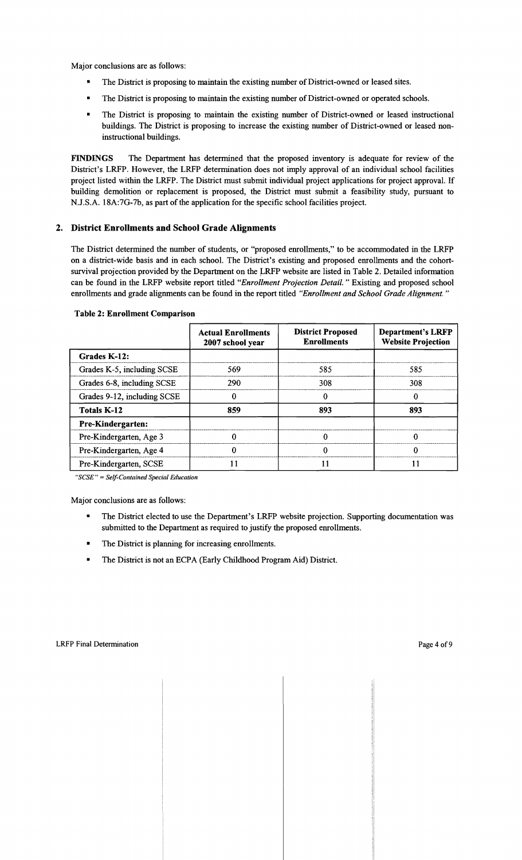Major conclusions are as follows:

- The District is proposing to maintain the existing number of District-owned or leased sites.
- The District is proposing to maintain the existing number of District-owned or operated schools.
- The District is proposing to maintain the existing number of District-owned or leased instructional buildings. The District is proposing to increase the existing number of District-owned or leased noninstructional buildings.

FINDINGS The Department has determined that the proposed inventory is adequate for review of the District's LRFP. However, the LRFP determination does not imply approval of an individual school facilities project listed within the LRFP. The District must submit individual project applications for project approval. If building demolition or replacement is proposed, the District must submit a feasibility study, pursuant to N.J.S.A. 18A:7G-7b, as part of the application for the specific school facilities project.

## 2. District Enrollments and School Grade Alignments

The District determined the number of students, or "proposed enrollments," to be accommodated in the LRFP on a district-wide basis and in each school. The District's existing and proposed enrollments and the cohortsurvival projection provided by the Department on the LRFP website are listed in Table 2. Detailed information can be found in the LRFP website report titled *"Enrollment Projection Detail.* " Existing and proposed school enrollments and grade alignments can be found in the report titled *"Enrollment and School Grade Alignment. "* 

|                             | <b>Actual Enrollments</b><br>2007 school year | <b>District Proposed</b><br><b>Enrollments</b> | <b>Department's LRFP</b><br><b>Website Projection</b> |
|-----------------------------|-----------------------------------------------|------------------------------------------------|-------------------------------------------------------|
| Grades K-12:                |                                               |                                                |                                                       |
| Grades K-5, including SCSE  | 569                                           | 585                                            | 585                                                   |
| Grades 6-8, including SCSE  | 290                                           | 308                                            | 308                                                   |
| Grades 9-12, including SCSE |                                               |                                                |                                                       |
| <b>Totals K-12</b>          | 859                                           | 893                                            | 893                                                   |
| <b>Pre-Kindergarten:</b>    |                                               |                                                |                                                       |
| Pre-Kindergarten, Age 3     |                                               |                                                |                                                       |
| Pre-Kindergarten, Age 4     |                                               |                                                |                                                       |
| Pre-Kindergarten, SCSE      |                                               |                                                |                                                       |

#### Table 2: Enrollment Comparison

"SCSE" = Self-Contained Special Education

- The District elected to use the Department's LRFP website projection. Supporting documentation was submitted to the Department as required to justify the proposed enrollments.
- The District is planning for increasing enrollments.
- The District is not an ECPA (Early Childhood Program Aid) District.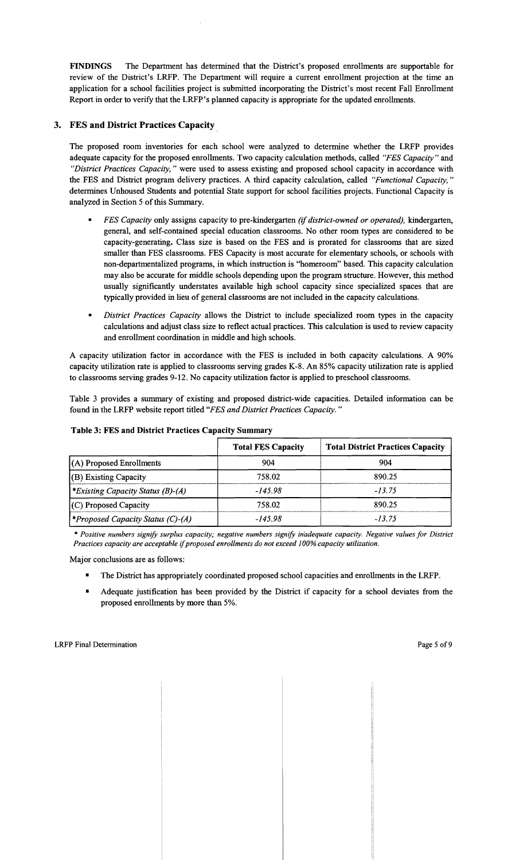FINDINGS The Department has determined that the District's proposed emollments are supportable for review of the District's LRFP. The Department will require a current emollment projection at the time an application for a school facilities project is submitted incorporating the District's most recent Fall Emollment Report in order to verify that the LRFP's planned capacity is appropriate for the updated enrollments.

## 3. FES and District Practices Capacity .

The proposed room inventories for each school were analyzed to determine whether the LRFP provides adequate capacity for the proposed emollments. Two capacity calculation methods, called *"FES Capacity"* and *"District Practices Capacity,* " were used to assess existing and proposed school capacity in accordance with the FES and District program delivery practices. A third capacity calculation, called *"Functional Capacity, "*  determines Unhoused Students and potential State support for school facilities projects. Functional Capacity is analyzed in Section 5 of this Summary.

- *FES Capacity* only assigns capacity to pre-kindergarten *(if district-owned or operated),* kindergarten, general, and self-contained special education classrooms. No other room types are considered to be capacity-generating. Class size is based on the FES and is prorated for classrooms that are sized smaller than FES classrooms. FES Capacity is most accurate for elementary schools, or schools with non-departmentalized programs, in which instruction is "homeroom" based. This capacity calculation may also be accurate for middle schools depending upon the program structure. However, this method usually significantly understates available high school capacity since specialized spaces that are typically provided in lieu of general classrooms are not included in the capacity calculations.
- *District Practices Capacity* allows the District to include specialized room types in the capacity calculations and adjust class size to reflect actual practices. This calculation is used to review capacity and emollment coordination in middle and high schools.

A capacity utilization factor in accordance with the FES is included in both capacity calculations. A 90% capacity utilization rate is applied to classrooms serving grades K-8. An 85% capacity utilization rate is applied to classrooms serving grades 9-12. No capacity utilization factor is applied to preschool classrooms.

Table 3 provides a summary of existing and proposed district-wide capacities. Detailed information can be found in the LRFP website report titled *"FES and District Practices Capacity. "* 

|                                          | <b>Total FES Capacity</b> | <b>Total District Practices Capacity</b> |
|------------------------------------------|---------------------------|------------------------------------------|
| $(A)$ Proposed Enrollments               | 904                       | 904                                      |
| (B) Existing Capacity                    | 758.02                    | 890.25                                   |
| *Existing Capacity Status (B)-(A)        | $-145.98$                 | $-13.75$                                 |
| (C) Proposed Capacity                    | 758.02                    | 890.25                                   |
| <i>*Proposed Capacity Status (C)-(A)</i> | $-145.98$                 | $-13.75$                                 |

Table 3: FES and District Practices Capacity Summary

\* *Positive numbers signify surplus capacity; negative numbers signify inadequate capacity. Negative values for District Practices capacity are acceptable* if*proposed enrollments do not exceed* J*00% capacity utilization.* 

- The District has appropriately coordinated proposed school capacities and enrollments in the LRFP.
- Adequate justification has been provided by the District if capacity for a school deviates from the proposed emollments by more than 5%.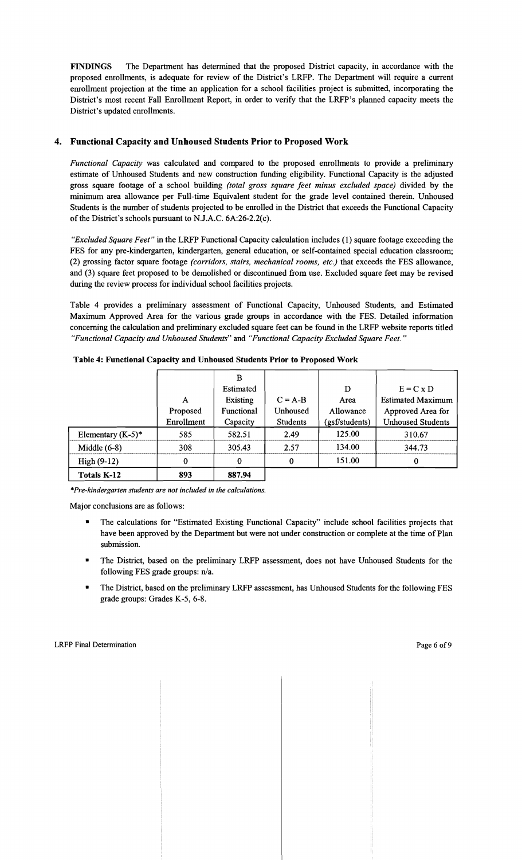FINDINGS The Department has determined that the proposed District capacity, in accordance with the proposed enrollments, is adequate for review of the District's LRFP. The Department will require a current enrollment projection at the time an application for a school facilities project is submitted, incorporating the District's most recent Fall Enrollment Report, in order to verify that the LRFP's planned capacity meets the District's updated enrollments.

## 4. Functional Capacity and Unhoused Students Prior to Proposed Work

*Functional Capacity* was calculated and compared to the proposed enrollments to provide a preliminary estimate of Unhoused Students and new construction funding eligibility. Functional Capacity is the adjusted gross square footage of a school building *(total gross square feet minus excluded space)* divided by the minimum area allowance per Full-time Equivalent student for the grade level contained therein. Unhoused Students is the number of students projected to be enrolled in the District that exceeds the Functional Capacity of the District's schools pursuant to NJ.A.C. 6A:26-2.2(c).

*"Excluded Square Feet"* in the LRFP Functional Capacity calculation includes (1) square footage exceeding the FES for any pre-kindergarten, kindergarten, general education, or self-contained special education classroom; (2) grossing factor square footage *(corridors, stairs, mechanical rooms, etc.)* that exceeds the FES allowance, and (3) square feet proposed to be demolished or discontinued from use. Excluded square feet may be revised during the review process for individual school facilities projects.

Table 4 provides a preliminary assessment of Functional Capacity, Unhoused Students, and Estimated Maximum Approved Area for the various grade groups in accordance with the FES. Detailed information concerning the calculation and preliminary excluded square feet can be found in the LRFP website reports titled *"Functional Capacity and Unhoused Students"* and *"Functional Capacity Excluded Square Feet."* 

|                      |            | в               |                 |                |                          |
|----------------------|------------|-----------------|-----------------|----------------|--------------------------|
|                      |            | Estimated       |                 | D              | $E = C \times D$         |
|                      | A          | <b>Existing</b> | $C = A-B$       | Area           | <b>Estimated Maximum</b> |
|                      | Proposed   | Functional      | Unhoused        | Allowance      | Approved Area for        |
|                      | Enrollment | Capacity        | <b>Students</b> | (gsf/students) | <b>Unhoused Students</b> |
| Elementary $(K-5)^*$ | 585        | 582.51          | 2.49            | 125.00         | 310.67                   |
| Middle $(6-8)$       | 308        | 305.43          | 2.57            | 134.00         | 344.73                   |
| $High (9-12)$        | 0          | $\mathbf 0$     | $\Omega$        | 151.00         | 0                        |
| <b>Totals K-12</b>   | 893        | 887.94          |                 |                |                          |

Table 4: Functional Capacity and Unhoused Students Prior to Proposed Work

*\*Pre-kindergarten students are not included in the calculations.* 

- The calculations for "Estimated Existing Functional Capacity" include school facilities projects that have been approved by the Department but were not under construction or complete at the time of Plan submission.
- The District, based on the preliminary LRFP assessment, does not have Unhoused Students for the following FES grade groups: n/a.
- The District, based on the preliminary LRFP assessment, has Unhoused Students for the following FES grade groups: Grades K-5, 6-8.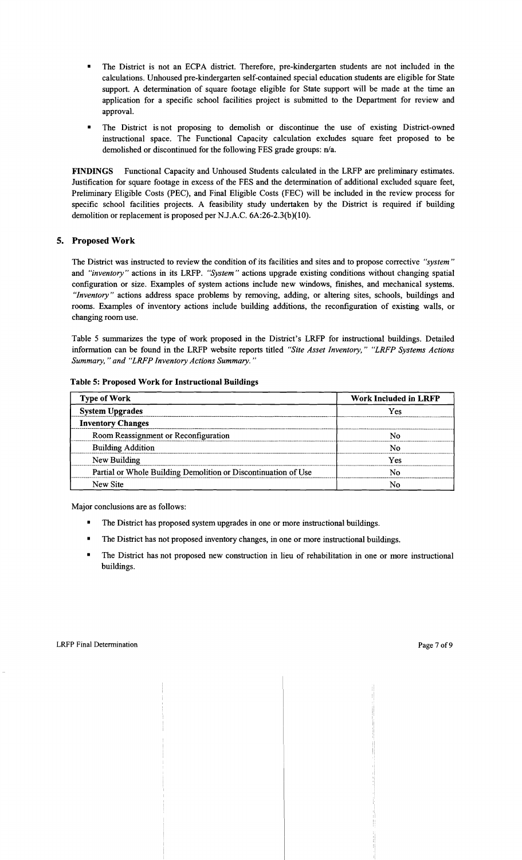- The District is not an ECPA district. Therefore, pre-kindergarten students are not included in the calculations. Unhoused pre-kindergarten self-contained special education students are eligible for State support. A determination of square footage eligible for State support will be made at the time an application for a specific school facilities project is submitted to the Department for review and approval.
- The District is not proposing to demolish or discontinue the use of existing District-owned instructional space. The Functional Capacity calculation excludes square feet proposed to be demolished or discontinued for the following FES grade groups: n/a.

**FINDINGS** Functional Capacity and Unhoused Students calculated in the LRFP are preliminary estimates. Justification for square footage in excess of the FES and the determination of additional excluded square feet, Preliminary Eligible Costs (PEC), and Final Eligible Costs (FEC) will be included in the review process for specific school facilities projects. A feasibility study undertaken by the District is required if building demolition or replacement is proposed per NJ.A.C. 6A:26-2.3(b)(10).

## **5. Proposed Work**

The District was instructed to review the condition of its facilities and sites and to propose corrective *"system"*  and *"inventory"* actions in its LRFP. *"System"* actions upgrade existing conditions without changing spatial configuration or size. Examples of system actions include new windows, finishes, and mechanical systems. *"Inventory"* actions address space problems by removing, adding, or altering sites, schools, buildings and rooms. Examples of inventory actions include building additions, the reconfiguration of existing walls, or changing room use.

Table 5 summarizes the type of work proposed in the District's LRFP for instructional buildings. Detailed information can be found in the LRFP website reports titled *"Site Asset Inventory," "LRFP Systems Actions Summary,* " *and "LRFP Inventory Actions Summary. "* 

| <b>Type of Work</b>                                            | <b>Work Included in LRFP</b> |  |  |
|----------------------------------------------------------------|------------------------------|--|--|
| <b>System Upgrades</b>                                         | Yes                          |  |  |
| <b>Inventory Changes</b>                                       |                              |  |  |
| Room Reassignment or Reconfiguration                           |                              |  |  |
| <b>Building Addition</b>                                       | N٥                           |  |  |
| New Building                                                   | Yes                          |  |  |
| Partial or Whole Building Demolition or Discontinuation of Use |                              |  |  |
| New Site                                                       |                              |  |  |

#### **Table 5: Proposed Work for Instructional Buildings**

- The District has proposed system upgrades in one or more instructional buildings.
- The District has not proposed inventory changes, in one or more instructional buildings.
- The District has not proposed new construction in lieu of rehabilitation in one or more instructional buildings.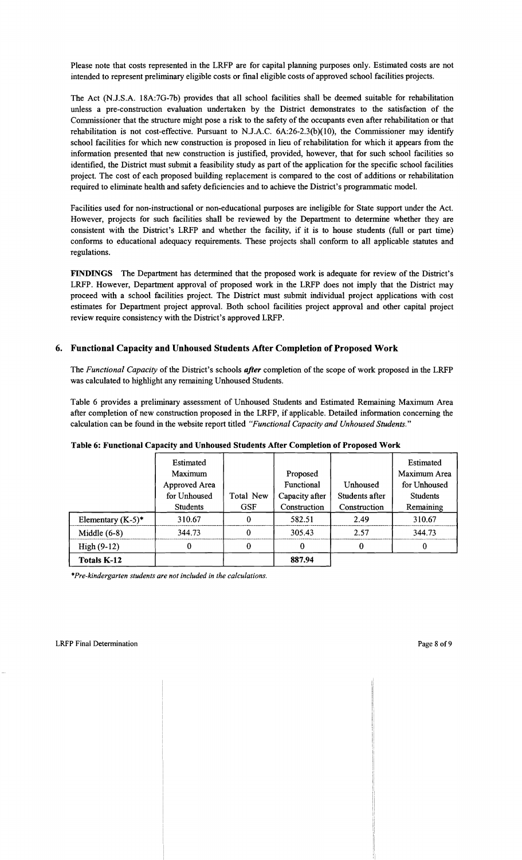Please note that costs represented in the LRFP are for capital planning purposes only. Estimated costs are not intended to represent preliminary eligible costs or final eligible costs of approved school facilities projects.

The Act (N.l.S.A. 18A:7G-7b) provides that all school facilities shall be deemed suitable for rehabilitation unless a pre-construction evaluation undertaken by the District demonstrates to the satisfaction of the Commissioner that the structure might pose a risk to the safety of the occupants even after rehabilitation or that rehabilitation is not cost-effective. Pursuant to NJ.A.C. 6A:26-2.3(b)(10), the Commissioner may identify school facilities for which new construction is proposed in lieu of rehabilitation for which it appears from the information presented that new construction is justified, provided, however, that for such school facilities so identified, the District must submit a feasibility study as part of the application for the specific school facilities project. The cost of each proposed building replacement is compared to the cost of additions or rehabilitation required to eliminate health and safety deficiencies and to achieve the District's programmatic model.

Facilities used for non-instructional or non-educational purposes are ineligible for State support under the Act. However, projects for such facilities shall be reviewed by the Department to determine whether they are consistent with the District's LRFP and whether the facility, if it is to house students (full or part time) conforms to educational adequacy requirements. These projects shall conform to all applicable statutes and regulations.

FINDINGS The Department has determined that the proposed work is adequate for review of the District's LRFP. However, Department approval of proposed work in the LRFP does not imply that the District may proceed with a school facilities project. The District must submit individual project applications with cost estimates for Department project approval. Both school facilities project approval and other capital project review require consistency with the District's approved LRFP.

## 6. Functional Capacity and Unhoused Students After Completion of Proposed Work

The *Functional Capacity* of the District's schools *after* completion of the scope of work proposed in the LRFP was calculated to highlight any remaining Unhoused Students.

Table 6 provides a preliminary assessment of Unhoused Students and Estimated Remaining Maximum Area after completion of new construction proposed in the LRFP, if applicable. Detailed information concerning the calculation can be found in the website report titled *"Functional Capacity and Unhoused Students."* 

|                      | Estimated       |            |                |                | Estimated       |
|----------------------|-----------------|------------|----------------|----------------|-----------------|
|                      | Maximum         |            | Proposed       |                | Maximum Area    |
|                      | Approved Area   |            | Functional     | Unhoused       | for Unhoused    |
|                      | for Unhoused    | Total New  | Capacity after | Students after | <b>Students</b> |
|                      | <b>Students</b> | <b>GSF</b> | Construction   | Construction   | Remaining       |
| Elementary $(K-5)^*$ | 310.67          | 0          | 582.51         | 2.49           | 310.67          |
| Middle $(6-8)$       | 344.73          | 0          | 305.43         | 2.57           | 344.73          |
| High $(9-12)$        | 0               | 0          | 0              | $\bf{0}$       | $\Omega$        |
| <b>Totals K-12</b>   |                 |            | 887.94         |                |                 |

Table 6: Functional Capacity and Unhoused Students After Completion of Proposed Work

*\*Pre-kindergarten students are not included in the calculations.*